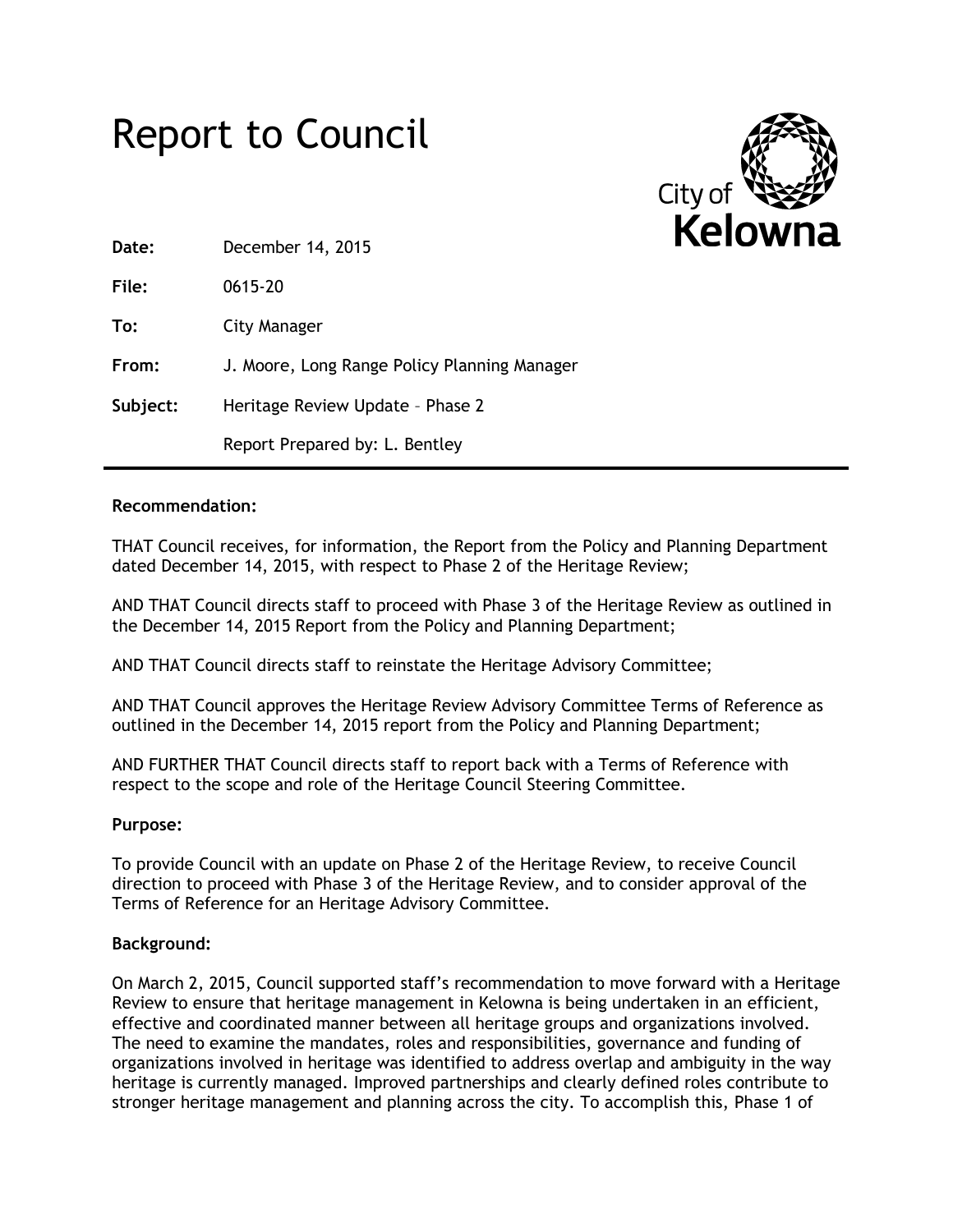



| Date:    | December 14, 2015                            |
|----------|----------------------------------------------|
| File:    | 0615-20                                      |
| To:      | City Manager                                 |
| From:    | J. Moore, Long Range Policy Planning Manager |
| Subject: | Heritage Review Update - Phase 2             |
|          | Report Prepared by: L. Bentley               |

## **Recommendation:**

THAT Council receives, for information, the Report from the Policy and Planning Department dated December 14, 2015, with respect to Phase 2 of the Heritage Review;

AND THAT Council directs staff to proceed with Phase 3 of the Heritage Review as outlined in the December 14, 2015 Report from the Policy and Planning Department;

AND THAT Council directs staff to reinstate the Heritage Advisory Committee;

AND THAT Council approves the Heritage Review Advisory Committee Terms of Reference as outlined in the December 14, 2015 report from the Policy and Planning Department;

AND FURTHER THAT Council directs staff to report back with a Terms of Reference with respect to the scope and role of the Heritage Council Steering Committee.

### **Purpose:**

To provide Council with an update on Phase 2 of the Heritage Review, to receive Council direction to proceed with Phase 3 of the Heritage Review, and to consider approval of the Terms of Reference for an Heritage Advisory Committee.

### **Background:**

On March 2, 2015, Council supported staff's recommendation to move forward with a Heritage Review to ensure that heritage management in Kelowna is being undertaken in an efficient, effective and coordinated manner between all heritage groups and organizations involved. The need to examine the mandates, roles and responsibilities, governance and funding of organizations involved in heritage was identified to address overlap and ambiguity in the way heritage is currently managed. Improved partnerships and clearly defined roles contribute to stronger heritage management and planning across the city. To accomplish this, Phase 1 of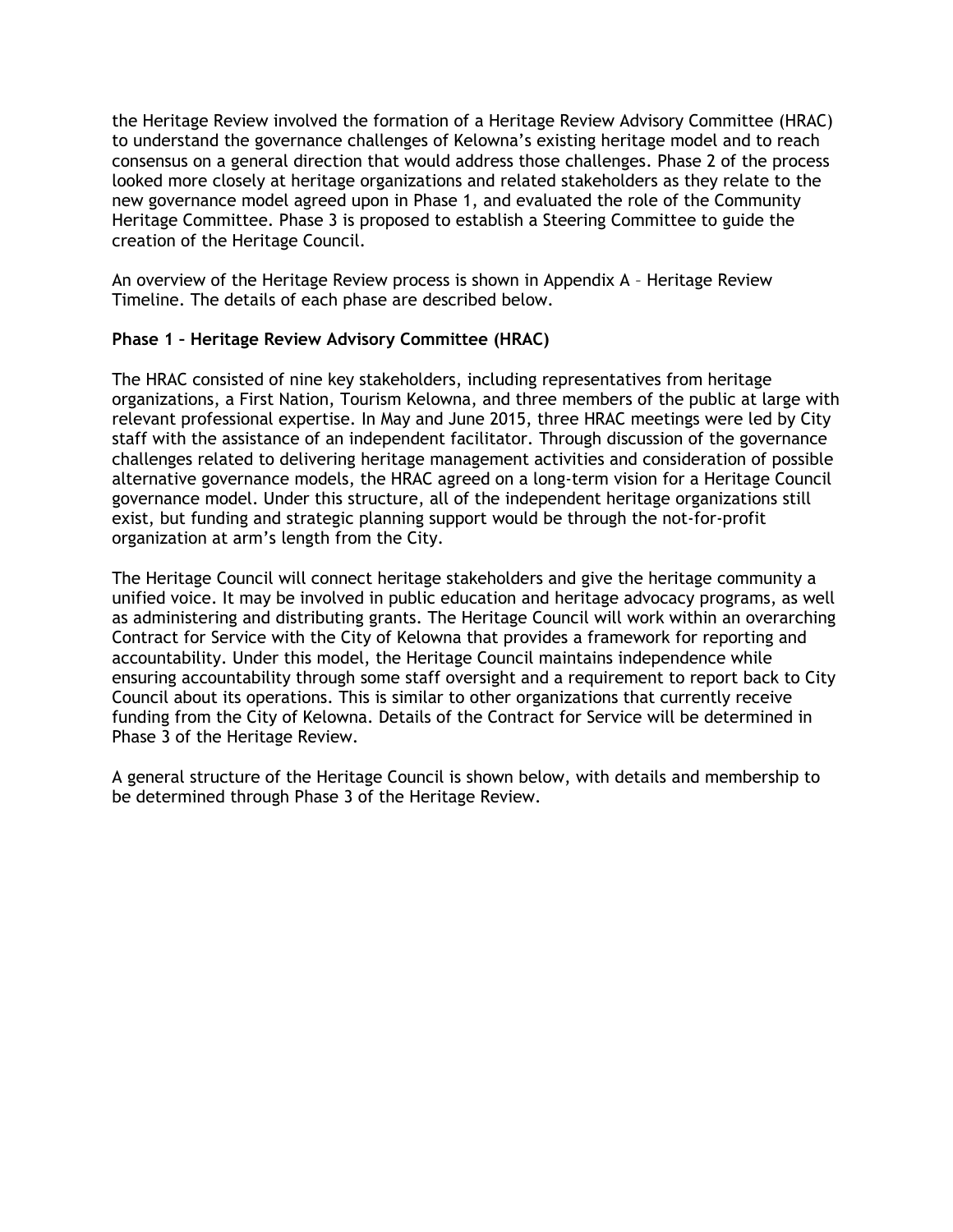the Heritage Review involved the formation of a Heritage Review Advisory Committee (HRAC) to understand the governance challenges of Kelowna's existing heritage model and to reach consensus on a general direction that would address those challenges. Phase 2 of the process looked more closely at heritage organizations and related stakeholders as they relate to the new governance model agreed upon in Phase 1, and evaluated the role of the Community Heritage Committee. Phase 3 is proposed to establish a Steering Committee to guide the creation of the Heritage Council.

An overview of the Heritage Review process is shown in Appendix A – Heritage Review Timeline. The details of each phase are described below.

## **Phase 1 – Heritage Review Advisory Committee (HRAC)**

The HRAC consisted of nine key stakeholders, including representatives from heritage organizations, a First Nation, Tourism Kelowna, and three members of the public at large with relevant professional expertise. In May and June 2015, three HRAC meetings were led by City staff with the assistance of an independent facilitator. Through discussion of the governance challenges related to delivering heritage management activities and consideration of possible alternative governance models, the HRAC agreed on a long-term vision for a Heritage Council governance model. Under this structure, all of the independent heritage organizations still exist, but funding and strategic planning support would be through the not-for-profit organization at arm's length from the City.

The Heritage Council will connect heritage stakeholders and give the heritage community a unified voice. It may be involved in public education and heritage advocacy programs, as well as administering and distributing grants. The Heritage Council will work within an overarching Contract for Service with the City of Kelowna that provides a framework for reporting and accountability. Under this model, the Heritage Council maintains independence while ensuring accountability through some staff oversight and a requirement to report back to City Council about its operations. This is similar to other organizations that currently receive funding from the City of Kelowna. Details of the Contract for Service will be determined in Phase 3 of the Heritage Review.

A general structure of the Heritage Council is shown below, with details and membership to be determined through Phase 3 of the Heritage Review.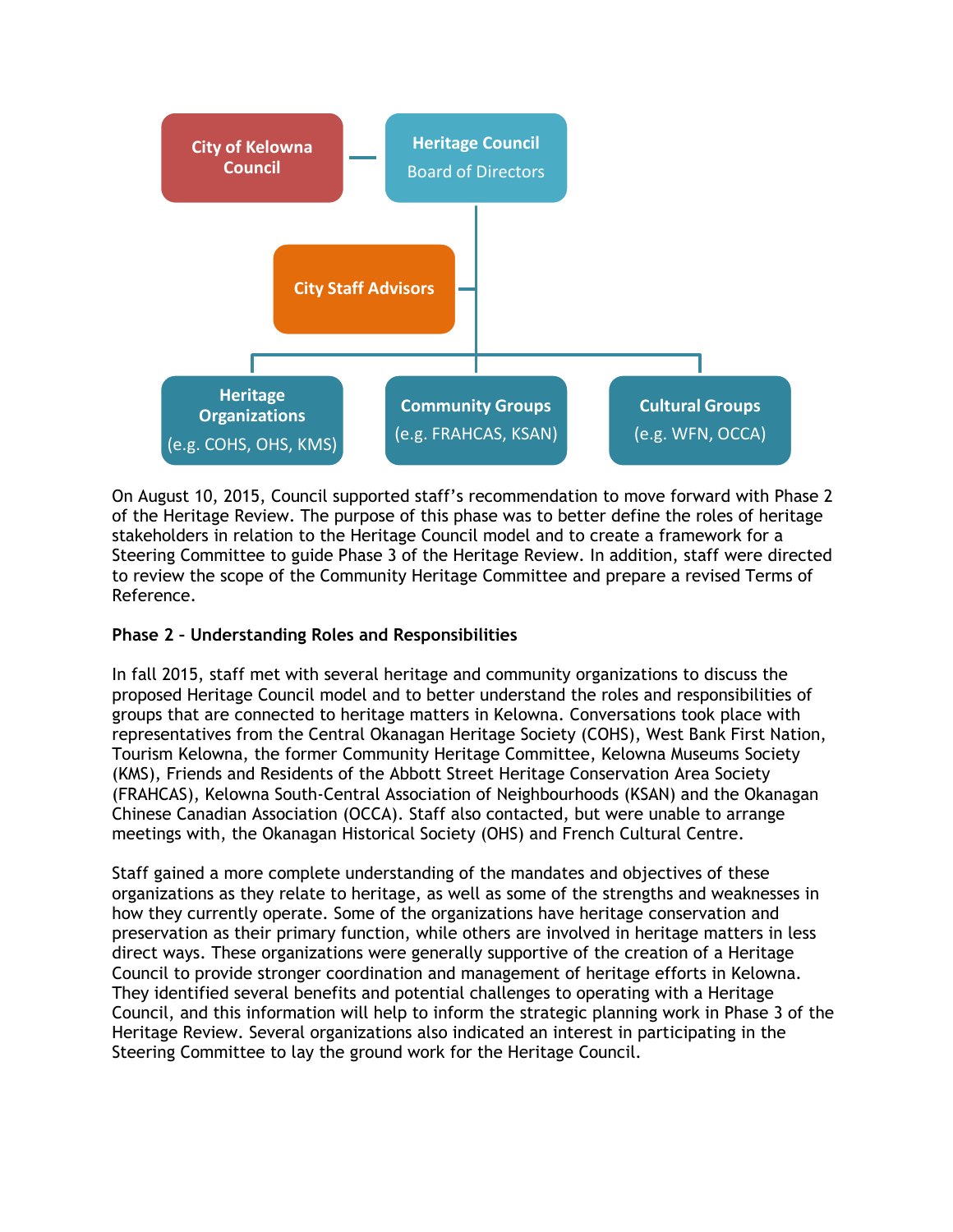

On August 10, 2015, Council supported staff's recommendation to move forward with Phase 2 of the Heritage Review. The purpose of this phase was to better define the roles of heritage stakeholders in relation to the Heritage Council model and to create a framework for a Steering Committee to guide Phase 3 of the Heritage Review. In addition, staff were directed to review the scope of the Community Heritage Committee and prepare a revised Terms of Reference.

# **Phase 2 – Understanding Roles and Responsibilities**

In fall 2015, staff met with several heritage and community organizations to discuss the proposed Heritage Council model and to better understand the roles and responsibilities of groups that are connected to heritage matters in Kelowna. Conversations took place with representatives from the Central Okanagan Heritage Society (COHS), West Bank First Nation, Tourism Kelowna, the former Community Heritage Committee, Kelowna Museums Society (KMS), Friends and Residents of the Abbott Street Heritage Conservation Area Society (FRAHCAS), Kelowna South-Central Association of Neighbourhoods (KSAN) and the Okanagan Chinese Canadian Association (OCCA). Staff also contacted, but were unable to arrange meetings with, the Okanagan Historical Society (OHS) and French Cultural Centre.

Staff gained a more complete understanding of the mandates and objectives of these organizations as they relate to heritage, as well as some of the strengths and weaknesses in how they currently operate. Some of the organizations have heritage conservation and preservation as their primary function, while others are involved in heritage matters in less direct ways. These organizations were generally supportive of the creation of a Heritage Council to provide stronger coordination and management of heritage efforts in Kelowna. They identified several benefits and potential challenges to operating with a Heritage Council, and this information will help to inform the strategic planning work in Phase 3 of the Heritage Review. Several organizations also indicated an interest in participating in the Steering Committee to lay the ground work for the Heritage Council.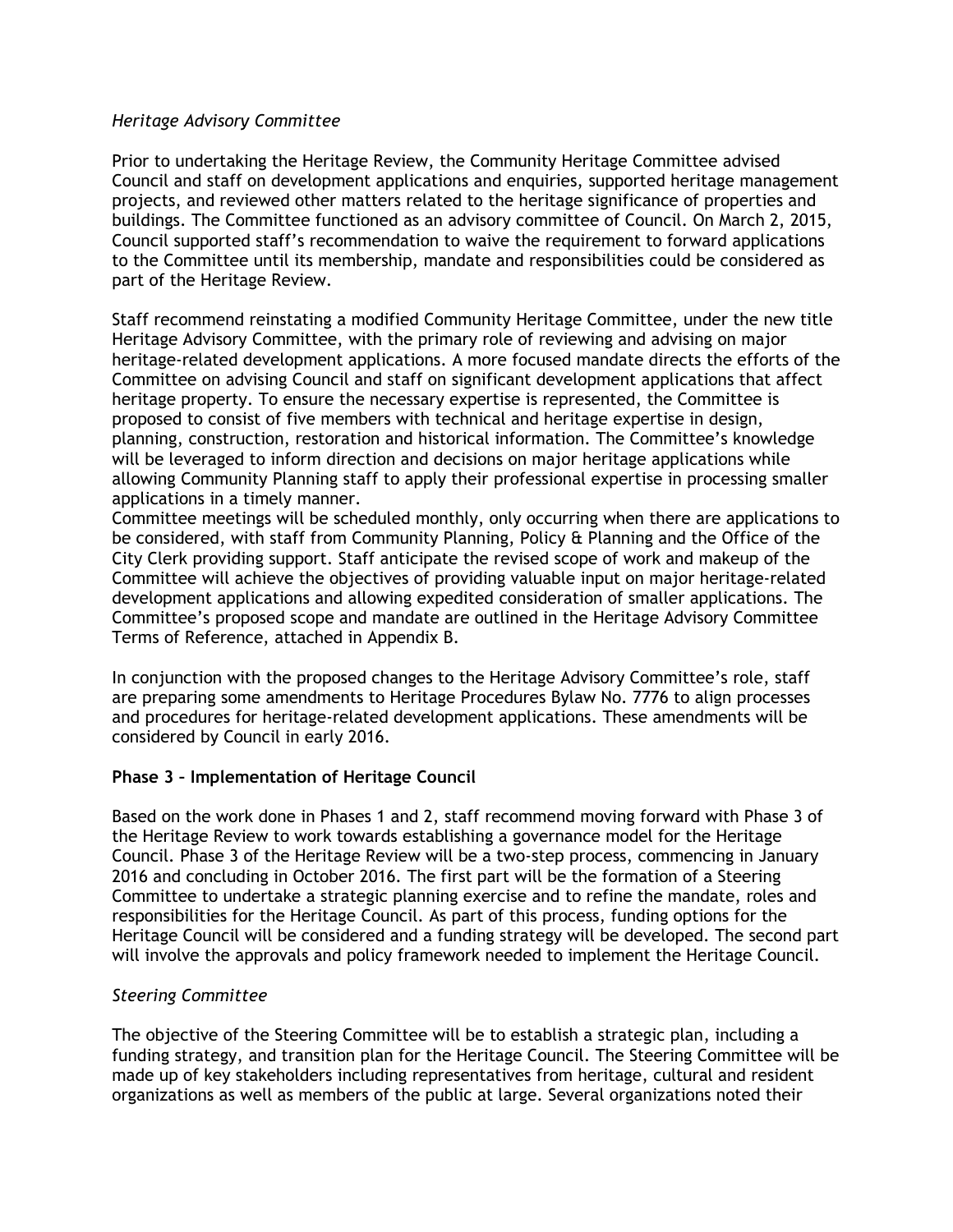## *Heritage Advisory Committee*

Prior to undertaking the Heritage Review, the Community Heritage Committee advised Council and staff on development applications and enquiries, supported heritage management projects, and reviewed other matters related to the heritage significance of properties and buildings. The Committee functioned as an advisory committee of Council. On March 2, 2015, Council supported staff's recommendation to waive the requirement to forward applications to the Committee until its membership, mandate and responsibilities could be considered as part of the Heritage Review.

Staff recommend reinstating a modified Community Heritage Committee, under the new title Heritage Advisory Committee, with the primary role of reviewing and advising on major heritage-related development applications. A more focused mandate directs the efforts of the Committee on advising Council and staff on significant development applications that affect heritage property. To ensure the necessary expertise is represented, the Committee is proposed to consist of five members with technical and heritage expertise in design, planning, construction, restoration and historical information. The Committee's knowledge will be leveraged to inform direction and decisions on major heritage applications while allowing Community Planning staff to apply their professional expertise in processing smaller applications in a timely manner.

Committee meetings will be scheduled monthly, only occurring when there are applications to be considered, with staff from Community Planning, Policy & Planning and the Office of the City Clerk providing support. Staff anticipate the revised scope of work and makeup of the Committee will achieve the objectives of providing valuable input on major heritage-related development applications and allowing expedited consideration of smaller applications. The Committee's proposed scope and mandate are outlined in the Heritage Advisory Committee Terms of Reference, attached in Appendix B.

In conjunction with the proposed changes to the Heritage Advisory Committee's role, staff are preparing some amendments to Heritage Procedures Bylaw No. 7776 to align processes and procedures for heritage-related development applications. These amendments will be considered by Council in early 2016.

# **Phase 3 – Implementation of Heritage Council**

Based on the work done in Phases 1 and 2, staff recommend moving forward with Phase 3 of the Heritage Review to work towards establishing a governance model for the Heritage Council. Phase 3 of the Heritage Review will be a two-step process, commencing in January 2016 and concluding in October 2016. The first part will be the formation of a Steering Committee to undertake a strategic planning exercise and to refine the mandate, roles and responsibilities for the Heritage Council. As part of this process, funding options for the Heritage Council will be considered and a funding strategy will be developed. The second part will involve the approvals and policy framework needed to implement the Heritage Council.

# *Steering Committee*

The objective of the Steering Committee will be to establish a strategic plan, including a funding strategy, and transition plan for the Heritage Council. The Steering Committee will be made up of key stakeholders including representatives from heritage, cultural and resident organizations as well as members of the public at large. Several organizations noted their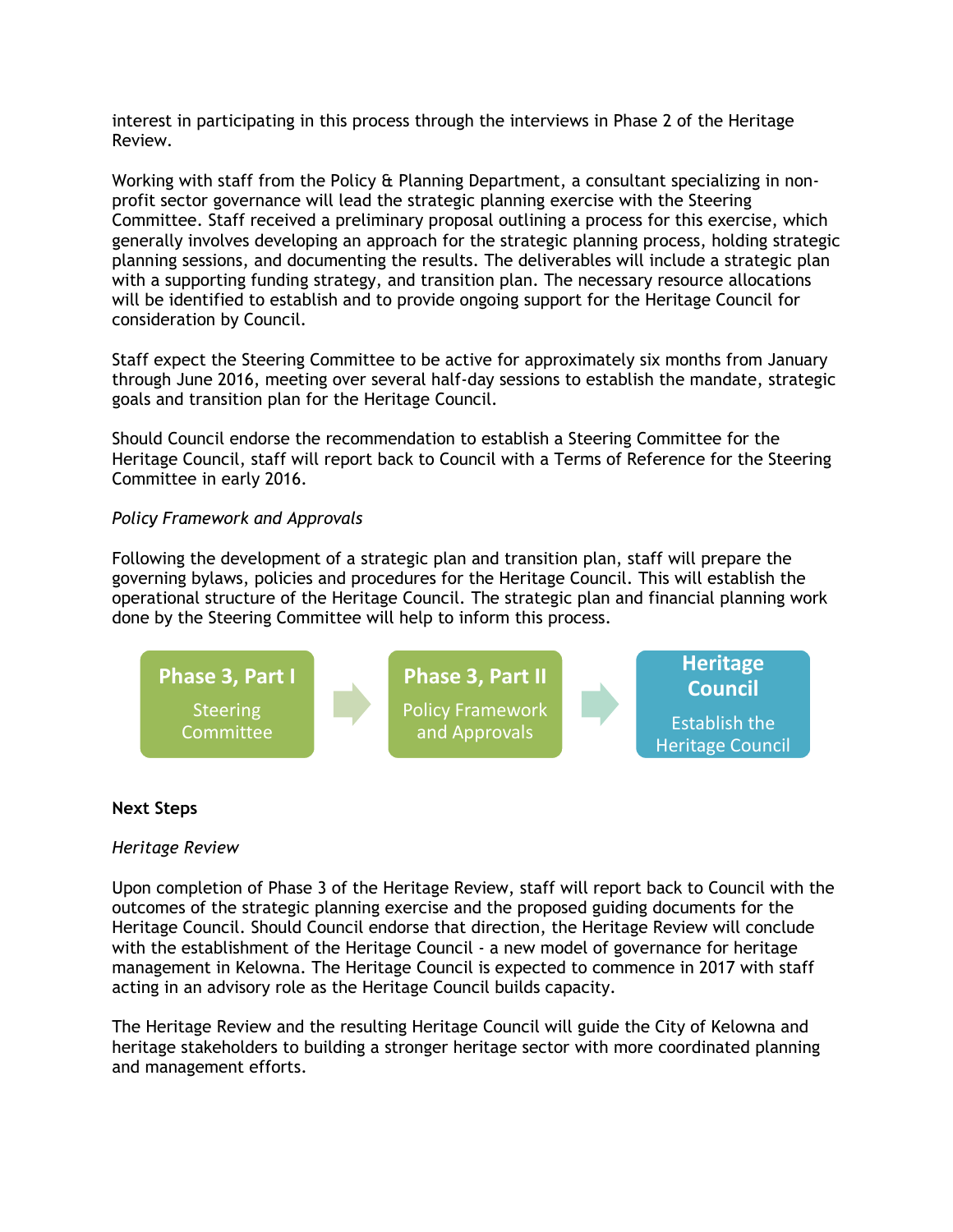interest in participating in this process through the interviews in Phase 2 of the Heritage Review.

Working with staff from the Policy & Planning Department, a consultant specializing in nonprofit sector governance will lead the strategic planning exercise with the Steering Committee. Staff received a preliminary proposal outlining a process for this exercise, which generally involves developing an approach for the strategic planning process, holding strategic planning sessions, and documenting the results. The deliverables will include a strategic plan with a supporting funding strategy, and transition plan. The necessary resource allocations will be identified to establish and to provide ongoing support for the Heritage Council for consideration by Council.

Staff expect the Steering Committee to be active for approximately six months from January through June 2016, meeting over several half-day sessions to establish the mandate, strategic goals and transition plan for the Heritage Council.

Should Council endorse the recommendation to establish a Steering Committee for the Heritage Council, staff will report back to Council with a Terms of Reference for the Steering Committee in early 2016.

## *Policy Framework and Approvals*

Following the development of a strategic plan and transition plan, staff will prepare the governing bylaws, policies and procedures for the Heritage Council. This will establish the operational structure of the Heritage Council. The strategic plan and financial planning work done by the Steering Committee will help to inform this process.



### **Next Steps**

### *Heritage Review*

Upon completion of Phase 3 of the Heritage Review, staff will report back to Council with the outcomes of the strategic planning exercise and the proposed guiding documents for the Heritage Council. Should Council endorse that direction, the Heritage Review will conclude with the establishment of the Heritage Council - a new model of governance for heritage management in Kelowna. The Heritage Council is expected to commence in 2017 with staff acting in an advisory role as the Heritage Council builds capacity.

The Heritage Review and the resulting Heritage Council will guide the City of Kelowna and heritage stakeholders to building a stronger heritage sector with more coordinated planning and management efforts.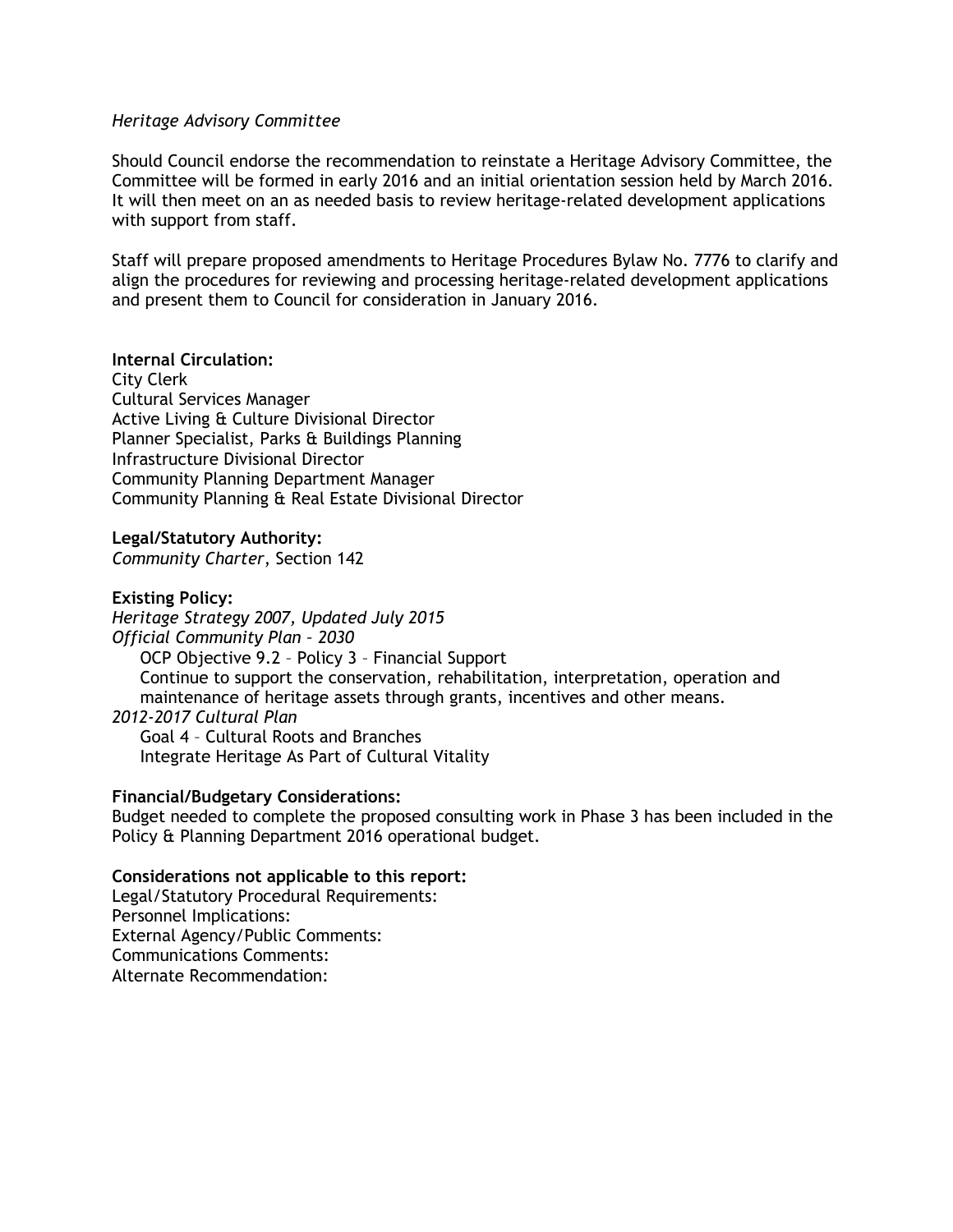### *Heritage Advisory Committee*

Should Council endorse the recommendation to reinstate a Heritage Advisory Committee, the Committee will be formed in early 2016 and an initial orientation session held by March 2016. It will then meet on an as needed basis to review heritage-related development applications with support from staff.

Staff will prepare proposed amendments to Heritage Procedures Bylaw No. 7776 to clarify and align the procedures for reviewing and processing heritage-related development applications and present them to Council for consideration in January 2016.

**Internal Circulation:** City Clerk Cultural Services Manager Active Living & Culture Divisional Director Planner Specialist, Parks & Buildings Planning Infrastructure Divisional Director Community Planning Department Manager Community Planning & Real Estate Divisional Director

**Legal/Statutory Authority:**

*Community Charter*, Section 142

**Existing Policy:** *Heritage Strategy 2007, Updated July 2015 Official Community Plan – 2030* OCP Objective 9.2 – Policy 3 – Financial Support Continue to support the conservation, rehabilitation, interpretation, operation and maintenance of heritage assets through grants, incentives and other means. *2012-2017 Cultural Plan* Goal 4 – Cultural Roots and Branches

Integrate Heritage As Part of Cultural Vitality

#### **Financial/Budgetary Considerations:**

Budget needed to complete the proposed consulting work in Phase 3 has been included in the Policy & Planning Department 2016 operational budget.

#### **Considerations not applicable to this report:**

Legal/Statutory Procedural Requirements: Personnel Implications: External Agency/Public Comments: Communications Comments: Alternate Recommendation: